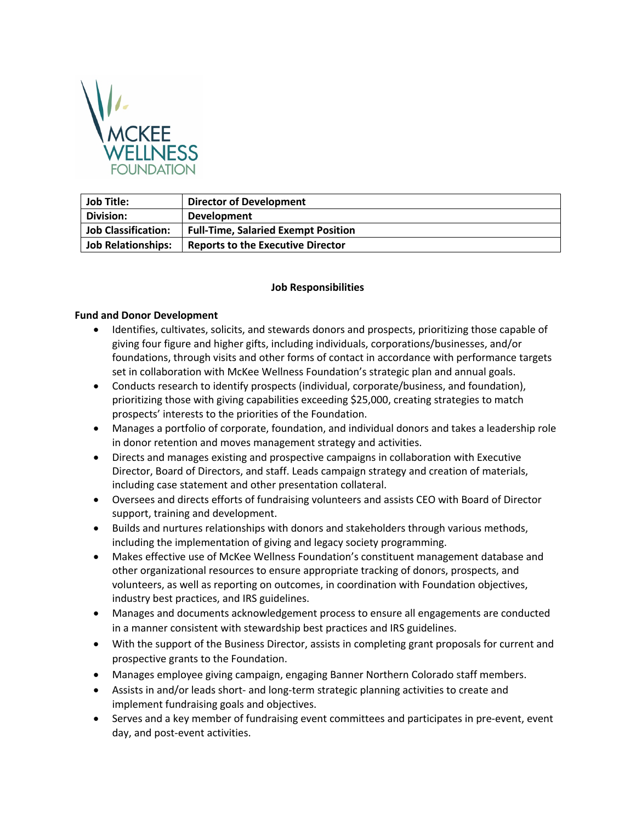

| <b>Job Title:</b>          | <b>Director of Development</b>             |
|----------------------------|--------------------------------------------|
| <b>Division:</b>           | <b>Development</b>                         |
| <b>Job Classification:</b> | <b>Full-Time, Salaried Exempt Position</b> |
| <b>Job Relationships:</b>  | <b>Reports to the Executive Director</b>   |

### **Job Responsibilities**

#### **Fund and Donor Development**

- Identifies, cultivates, solicits, and stewards donors and prospects, prioritizing those capable of giving four figure and higher gifts, including individuals, corporations/businesses, and/or foundations, through visits and other forms of contact in accordance with performance targets set in collaboration with McKee Wellness Foundation's strategic plan and annual goals.
- Conducts research to identify prospects (individual, corporate/business, and foundation), prioritizing those with giving capabilities exceeding \$25,000, creating strategies to match prospects' interests to the priorities of the Foundation.
- Manages a portfolio of corporate, foundation, and individual donors and takes a leadership role in donor retention and moves management strategy and activities.
- Directs and manages existing and prospective campaigns in collaboration with Executive Director, Board of Directors, and staff. Leads campaign strategy and creation of materials, including case statement and other presentation collateral.
- Oversees and directs efforts of fundraising volunteers and assists CEO with Board of Director support, training and development.
- Builds and nurtures relationships with donors and stakeholders through various methods, including the implementation of giving and legacy society programming.
- Makes effective use of McKee Wellness Foundation's constituent management database and other organizational resources to ensure appropriate tracking of donors, prospects, and volunteers, as well as reporting on outcomes, in coordination with Foundation objectives, industry best practices, and IRS guidelines.
- Manages and documents acknowledgement process to ensure all engagements are conducted in a manner consistent with stewardship best practices and IRS guidelines.
- With the support of the Business Director, assists in completing grant proposals for current and prospective grants to the Foundation.
- Manages employee giving campaign, engaging Banner Northern Colorado staff members.
- Assists in and/or leads short- and long-term strategic planning activities to create and implement fundraising goals and objectives.
- Serves and a key member of fundraising event committees and participates in pre-event, event day, and post-event activities.